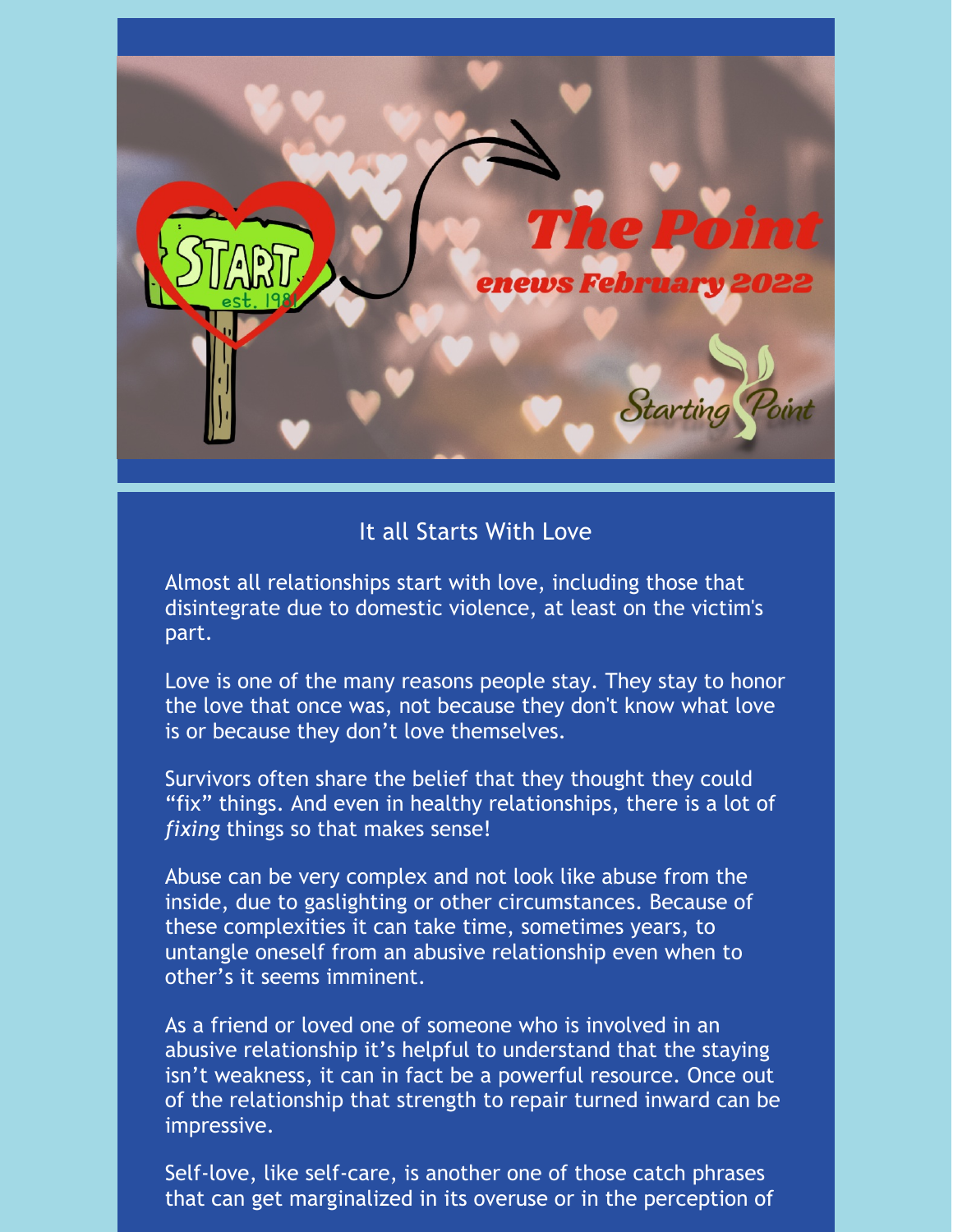

### It all Starts With Love

Almost all relationships start with love, including those that disintegrate due to domestic violence, at least on the victim's part.

Love is one of the many reasons people stay. They stay to honor the love that once was, not because they don't know what love is or because they don't love themselves.

Survivors often share the belief that they thought they could "fix" things. And even in healthy relationships, there is a lot of *fixing* things so that makes sense!

Abuse can be very complex and not look like abuse from the inside, due to gaslighting or other circumstances. Because of these complexities it can take time, sometimes years, to untangle oneself from an abusive relationship even when to other's it seems imminent.

As a friend or loved one of someone who is involved in an abusive relationship it's helpful to understand that the staying isn't weakness, it can in fact be a powerful resource. Once out of the relationship that strength to repair turned inward can be impressive.

Self-love, like self-care, is another one of those catch phrases that can get marginalized in its overuse or in the perception of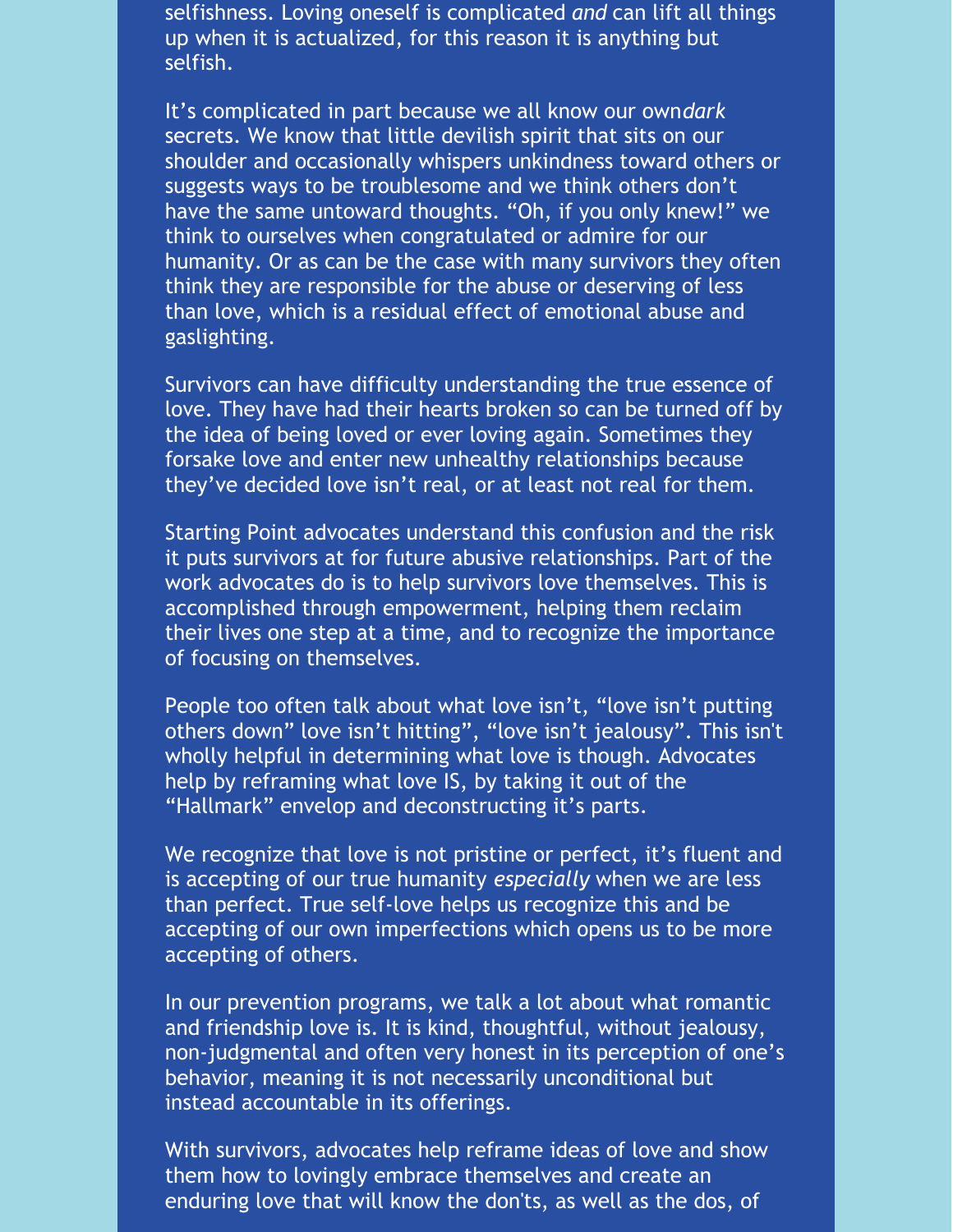selfishness. Loving oneself is complicated *and* can lift all things up when it is actualized, for this reason it is anything but selfish.

It's complicated in part because we all know our own*dark* secrets. We know that little devilish spirit that sits on our shoulder and occasionally whispers unkindness toward others or suggests ways to be troublesome and we think others don't have the same untoward thoughts. "Oh, if you only knew!" we think to ourselves when congratulated or admire for our humanity. Or as can be the case with many survivors they often think they are responsible for the abuse or deserving of less than love, which is a residual effect of emotional abuse and gaslighting.

Survivors can have difficulty understanding the true essence of love. They have had their hearts broken so can be turned off by the idea of being loved or ever loving again. Sometimes they forsake love and enter new unhealthy relationships because they've decided love isn't real, or at least not real for them.

Starting Point advocates understand this confusion and the risk it puts survivors at for future abusive relationships. Part of the work advocates do is to help survivors love themselves. This is accomplished through empowerment, helping them reclaim their lives one step at a time, and to recognize the importance of focusing on themselves.

People too often talk about what love isn't, "love isn't putting others down" love isn't hitting", "love isn't jealousy". This isn't wholly helpful in determining what love is though. Advocates help by reframing what love IS, by taking it out of the "Hallmark" envelop and deconstructing it's parts.

We recognize that love is not pristine or perfect, it's fluent and is accepting of our true humanity *especially* when we are less than perfect. True self-love helps us recognize this and be accepting of our own imperfections which opens us to be more accepting of others.

In our prevention programs, we talk a lot about what romantic and friendship love is. It is kind, thoughtful, without jealousy, non-judgmental and often very honest in its perception of one's behavior, meaning it is not necessarily unconditional but instead accountable in its offerings.

With survivors, advocates help reframe ideas of love and show them how to lovingly embrace themselves and create an enduring love that will know the don'ts, as well as the dos, of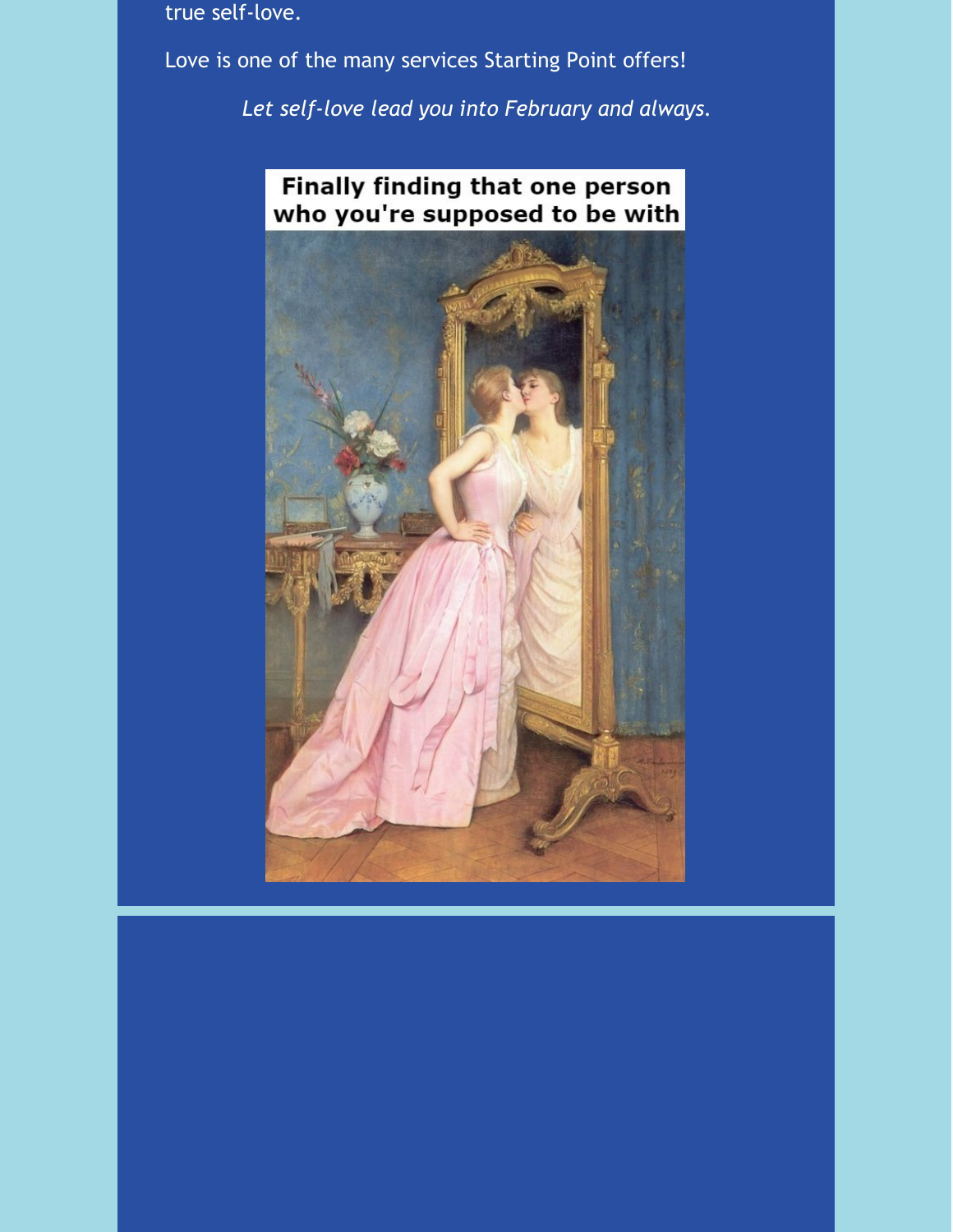true self-love.

Love is one of the many services Starting Point offers!

*Let self-love lead you into February and always.*

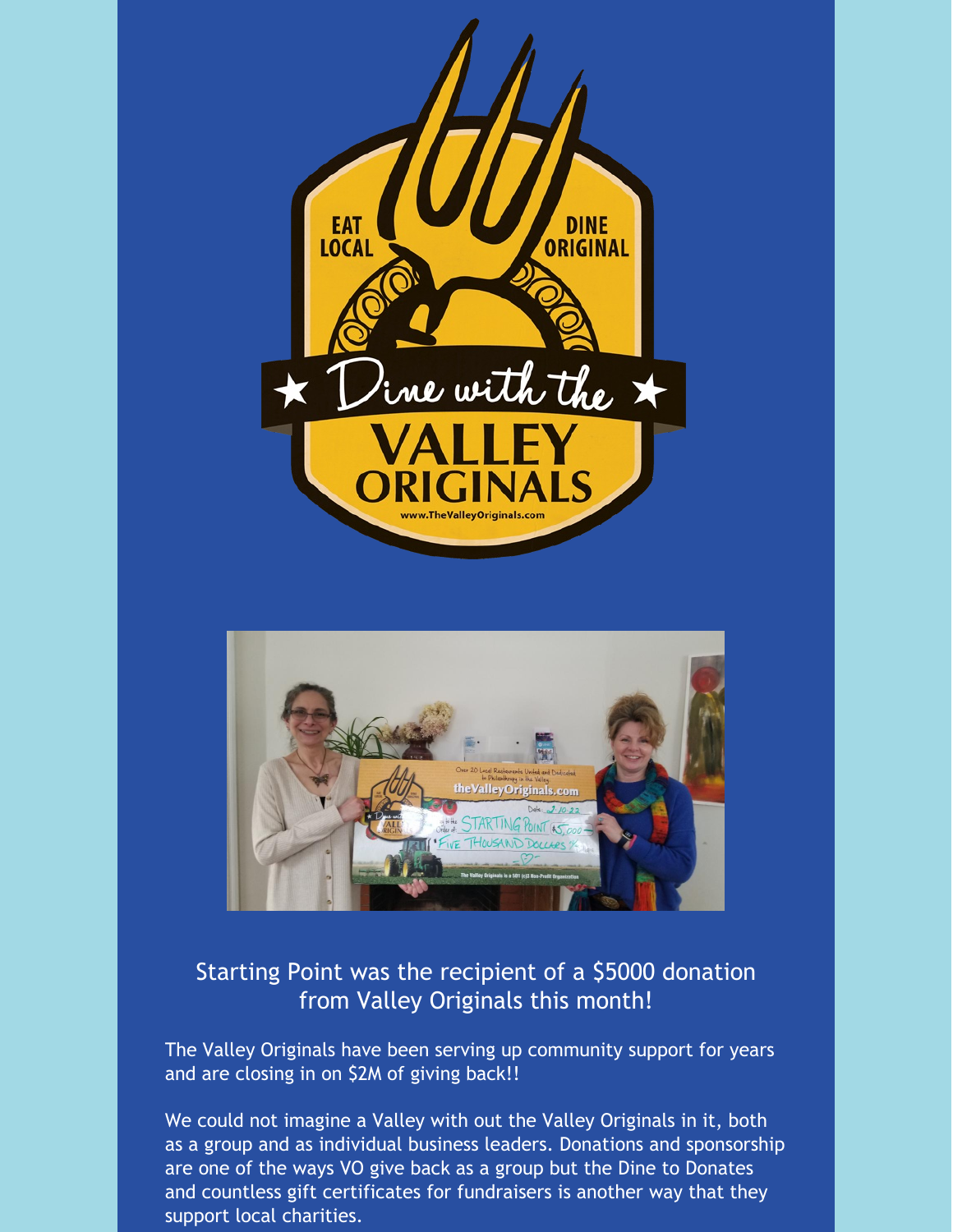



## Starting Point was the recipient of a \$5000 donation from Valley Originals this month!

The Valley Originals have been serving up community support for years and are closing in on \$2M of giving back!!

We could not imagine a Valley with out the Valley Originals in it, both as a group and as individual business leaders. Donations and sponsorship are one of the ways VO give back as a group but the Dine to Donates and countless gift certificates for fundraisers is another way that they support local charities.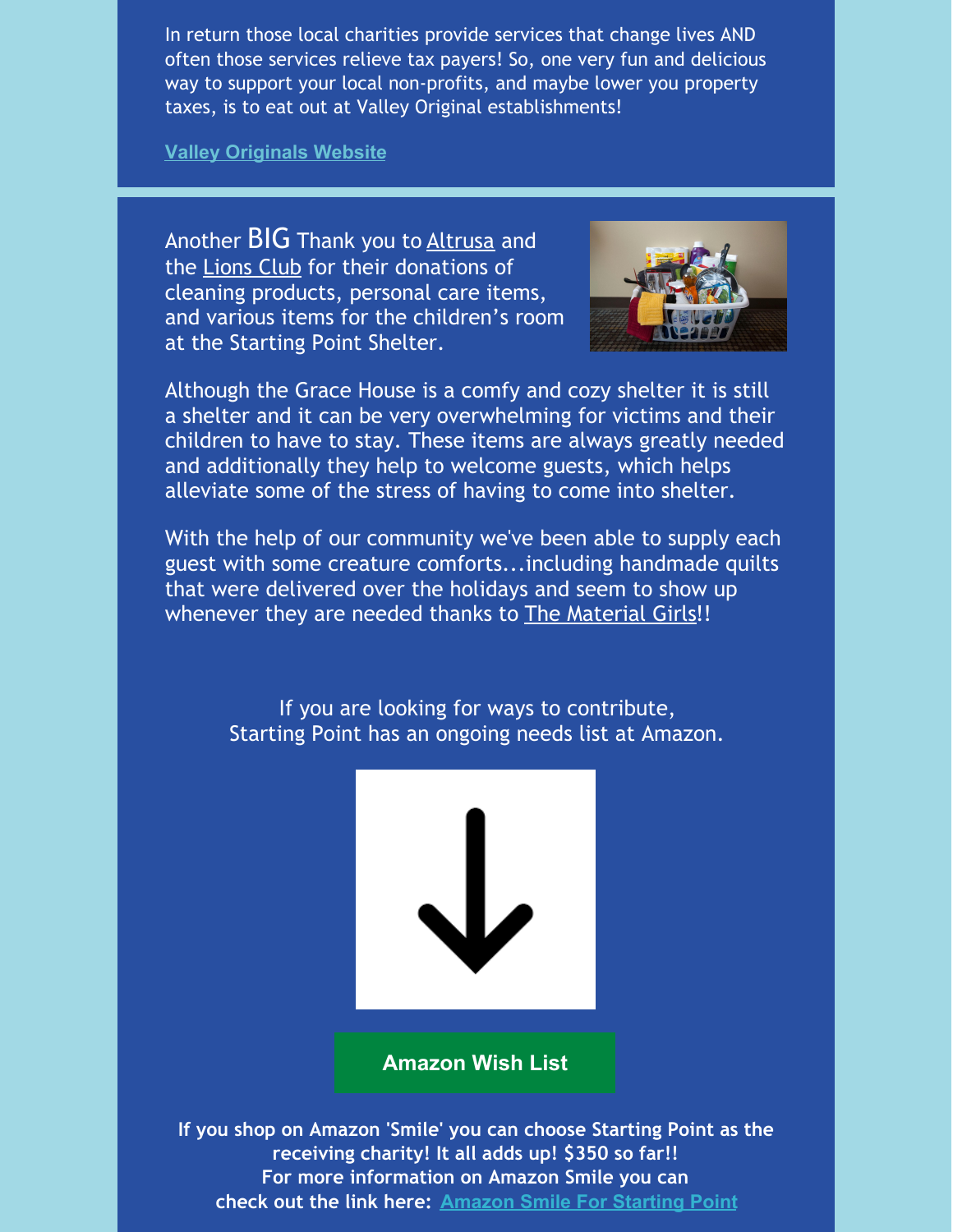In return those local charities provide services that change lives AND often those services relieve tax payers! So, one very fun and delicious way to support your local non-profits, and maybe lower you property taxes, is to eat out at Valley Original establishments!

**Valley [Originals](https://www.thevalleyoriginals.com/) Website**

Another BIG Thank you to Altrusa and the Lions Club for their donations of cleaning products, personal care items, and various items for the children's room at the Starting Point Shelter.



Although the Grace House is a comfy and cozy shelter it is still a shelter and it can be very overwhelming for victims and their children to have to stay. These items are always greatly needed and additionally they help to welcome guests, which helps alleviate some of the stress of having to come into shelter.

With the help of our community we've been able to supply each guest with some creature comforts...including handmade quilts that were delivered over the holidays and seem to show up whenever they are needed thanks to The Material Girls!!

> If you are looking for ways to contribute, Starting Point has an ongoing needs list at Amazon.



**[Amazon](https://smile.amazon.com/gp/ch/list/02-0365780?ref_=smi_cl_bc_lol1_lol) Wish List**

**If you shop on Amazon 'Smile' you can choose Starting Point as the receiving charity! It all adds up! \$350 so far!! For more information on Amazon Smile you can check out the link here: [Amazon](https://smile.amazon.com/gp/clpf/ref=smi_se_clpf_rd_clpf) Smile For Starting Point**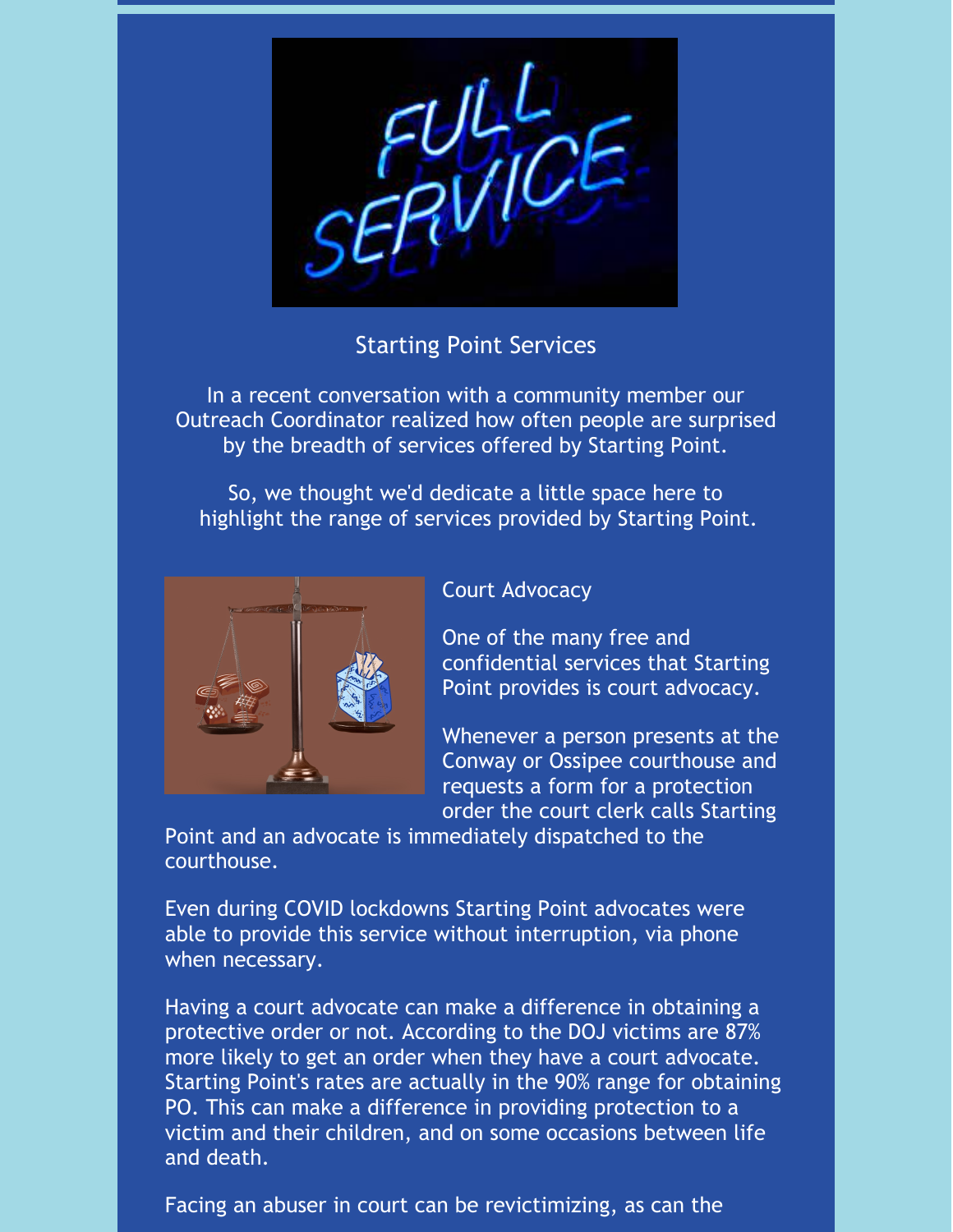

## Starting Point Services

In a recent conversation with a community member our Outreach Coordinator realized how often people are surprised by the breadth of services offered by Starting Point.

So, we thought we'd dedicate a little space here to highlight the range of services provided by Starting Point.



#### Court Advocacy

One of the many free and confidential services that Starting Point provides is court advocacy.

Whenever a person presents at the Conway or Ossipee courthouse and requests a form for a protection order the court clerk calls Starting

Point and an advocate is immediately dispatched to the courthouse.

Even during COVID lockdowns Starting Point advocates were able to provide this service without interruption, via phone when necessary.

Having a court advocate can make a difference in obtaining a protective order or not. According to the DOJ victims are 87% more likely to get an order when they have a court advocate. Starting Point's rates are actually in the 90% range for obtaining PO. This can make a difference in providing protection to a victim and their children, and on some occasions between life and death.

Facing an abuser in court can be revictimizing, as can the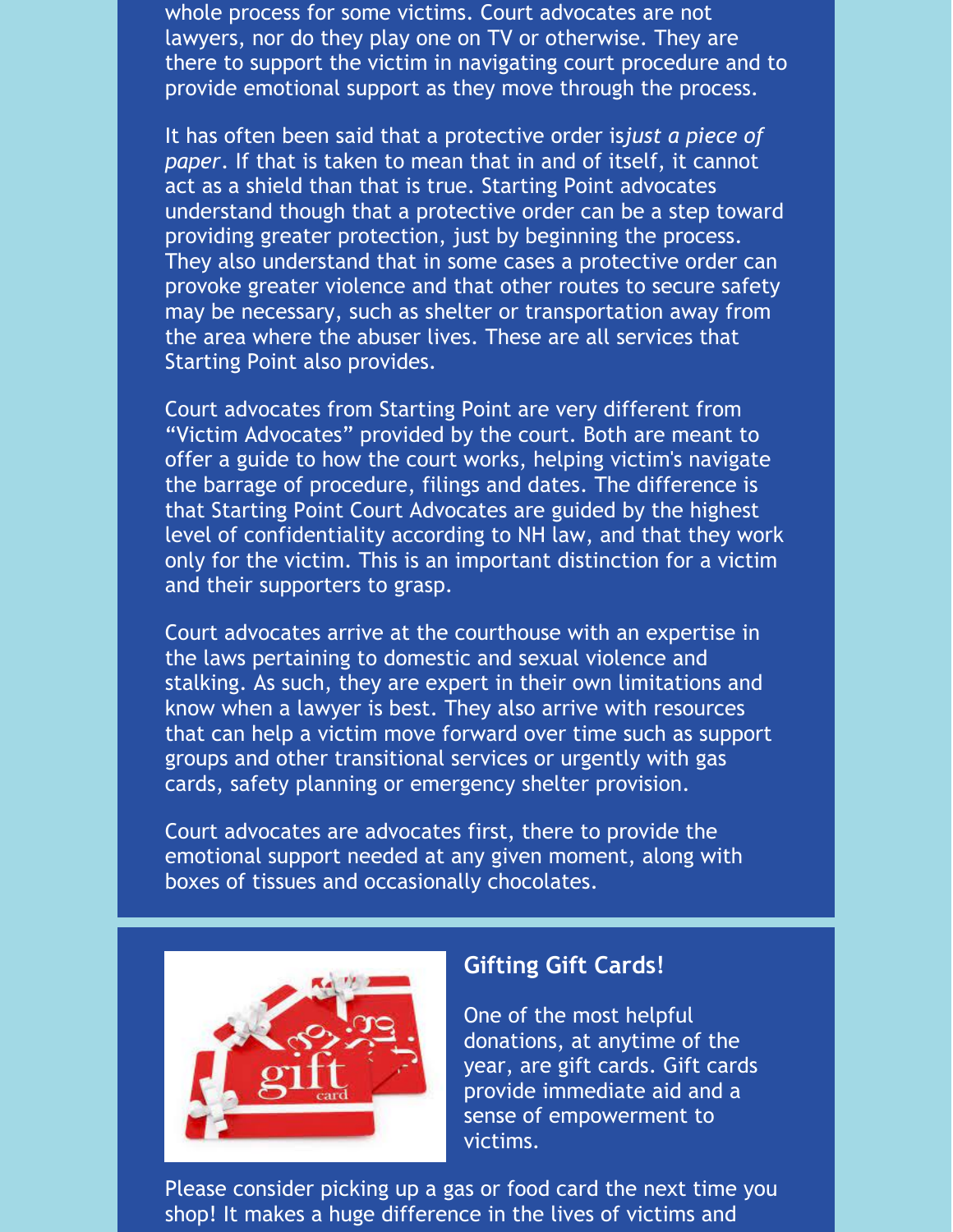whole process for some victims. Court advocates are not lawyers, nor do they play one on TV or otherwise. They are there to support the victim in navigating court procedure and to provide emotional support as they move through the process.

It has often been said that a protective order is*just a piece of paper*. If that is taken to mean that in and of itself, it cannot act as a shield than that is true. Starting Point advocates understand though that a protective order can be a step toward providing greater protection, just by beginning the process. They also understand that in some cases a protective order can provoke greater violence and that other routes to secure safety may be necessary, such as shelter or transportation away from the area where the abuser lives. These are all services that Starting Point also provides.

Court advocates from Starting Point are very different from "Victim Advocates" provided by the court. Both are meant to offer a guide to how the court works, helping victim's navigate the barrage of procedure, filings and dates. The difference is that Starting Point Court Advocates are guided by the highest level of confidentiality according to NH law, and that they work only for the victim. This is an important distinction for a victim and their supporters to grasp.

Court advocates arrive at the courthouse with an expertise in the laws pertaining to domestic and sexual violence and stalking. As such, they are expert in their own limitations and know when a lawyer is best. They also arrive with resources that can help a victim move forward over time such as support groups and other transitional services or urgently with gas cards, safety planning or emergency shelter provision.

Court advocates are advocates first, there to provide the emotional support needed at any given moment, along with boxes of tissues and occasionally chocolates.



#### **Gifting Gift Cards!**

One of the most helpful donations, at anytime of the year, are gift cards. Gift cards provide immediate aid and a sense of empowerment to victims.

Please consider picking up a gas or food card the next time you shop! It makes a huge difference in the lives of victims and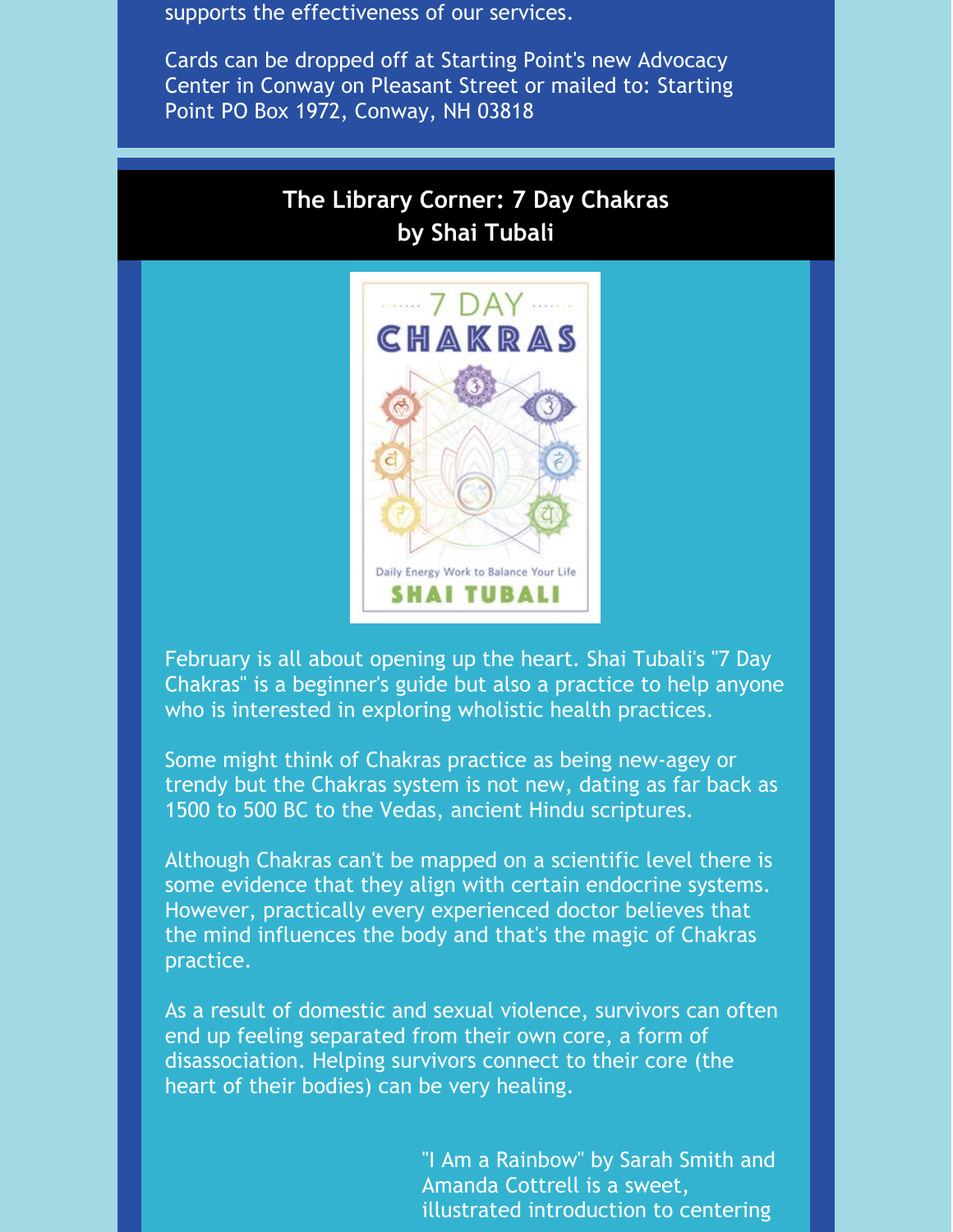supports the effectiveness of our services.

Cards can be dropped off at Starting Point's new Advocacy Center in Conway on Pleasant Street or mailed to: Starting Point PO Box 1972, Conway, NH 03818

# **The Library Corner: 7 Day Chakras by Shai Tubali**



February is all about opening up the heart. Shai Tubali's "7 Day Chakras" is a beginner's guide but also a practice to help anyone who is interested in exploring wholistic health practices.

Some might think of Chakras practice as being new-agey or trendy but the Chakras system is not new, dating as far back as 1500 to 500 BC to the Vedas, ancient Hindu scriptures.

Although Chakras can't be mapped on a scientific level there is some evidence that they align with certain endocrine systems. However, practically every experienced doctor believes that the mind influences the body and that's the magic of Chakras practice.

As a result of domestic and sexual violence, survivors can often end up feeling separated from their own core, a form of disassociation. Helping survivors connect to their core (the heart of their bodies) can be very healing.

> "I Am a Rainbow" by Sarah Smith and Amanda Cottrell is a sweet, illustrated introduction to centering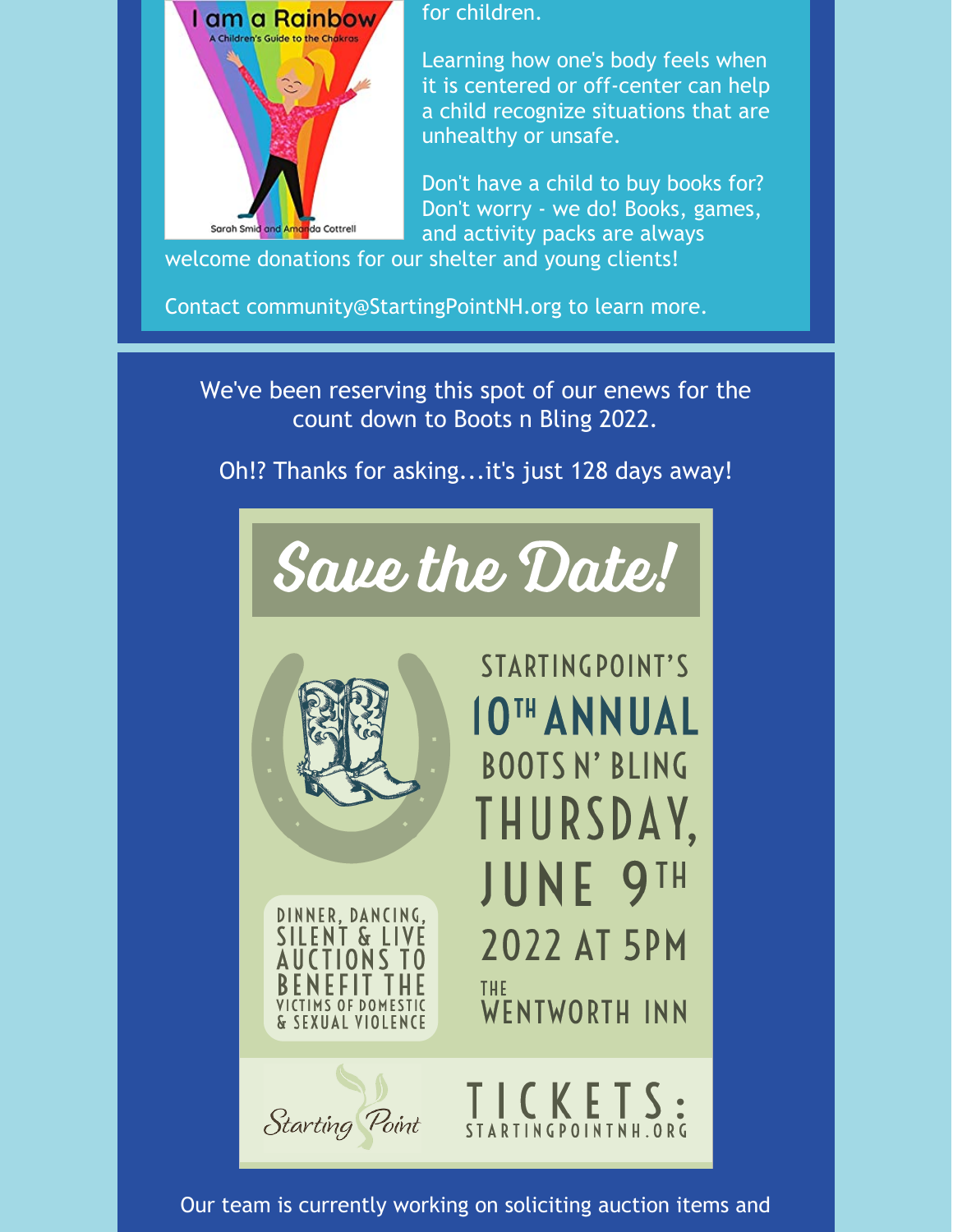

for children.

Learning how one's body feels when it is centered or off-center can help a child recognize situations that are unhealthy or unsafe.

Don't have a child to buy books for? Don't worry - we do! Books, games, and activity packs are always

welcome donations for our shelter and young clients!

Contact community@StartingPointNH.org to learn more.

We've been reserving this spot of our enews for the count down to Boots n Bling 2022.

Oh!? Thanks for asking...it's just 128 days away!





DINNER, DANCING, **ENT & LIVE** CTIONS TO S OF DOMESTI & SEXUAL VIOLENCE

STARTINGPOINT'S **10TH ANNUAL BOOTSN' BLING** THURSDAY, **JUNE 9TH 2022 AT 5PM** THE **WENTWORTH INN** 

TICKETS

STARTINGPOINTNH.ORG



Our team is currently working on soliciting auction items and